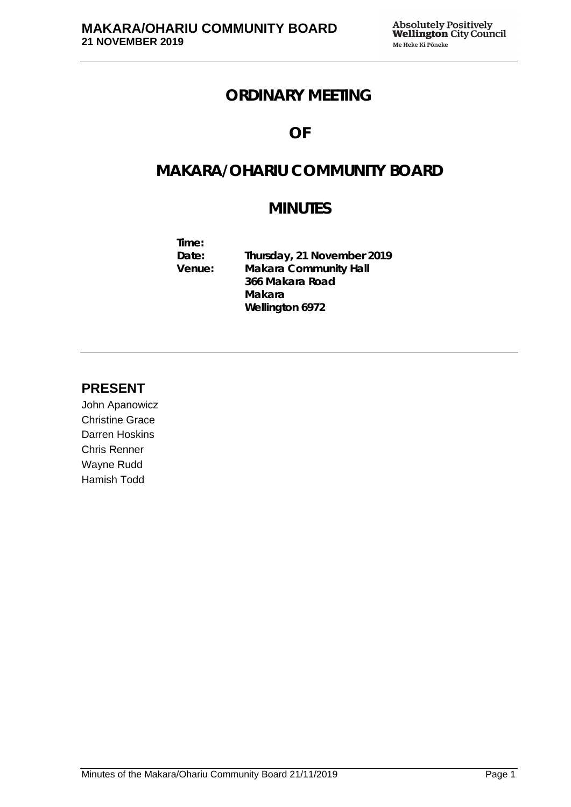# **ORDINARY MEETING**

# **OF**

# **MAKARA/OHARIU COMMUNITY BOARD**

# **MINUTES**

**Time: Date: Thursday, 21 November 2019 Makara Community Hall 366 Makara Road Makara Wellington 6972**

# **PRESENT**

John Apanowicz Christine Grace Darren Hoskins Chris Renner Wayne Rudd Hamish Todd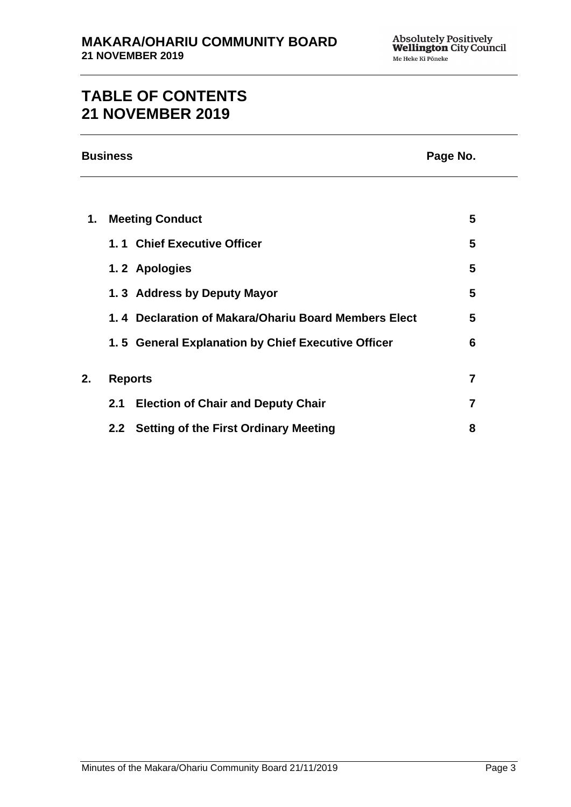# **TABLE OF CONTENTS 21 NOVEMBER 2019**

# **Business Page No.**

| 1. | <b>Meeting Conduct</b> |                                                      | 5 |
|----|------------------------|------------------------------------------------------|---|
|    |                        | 1.1 Chief Executive Officer                          | 5 |
|    |                        | 1.2 Apologies                                        | 5 |
|    |                        | 1.3 Address by Deputy Mayor                          | 5 |
|    |                        | 1.4 Declaration of Makara/Ohariu Board Members Elect | 5 |
|    |                        | 1.5 General Explanation by Chief Executive Officer   | 6 |
|    |                        |                                                      |   |
| 2. | <b>Reports</b>         |                                                      | 7 |
|    | 2.1                    | <b>Election of Chair and Deputy Chair</b>            | 7 |
|    |                        | 2.2 Setting of the First Ordinary Meeting            | 8 |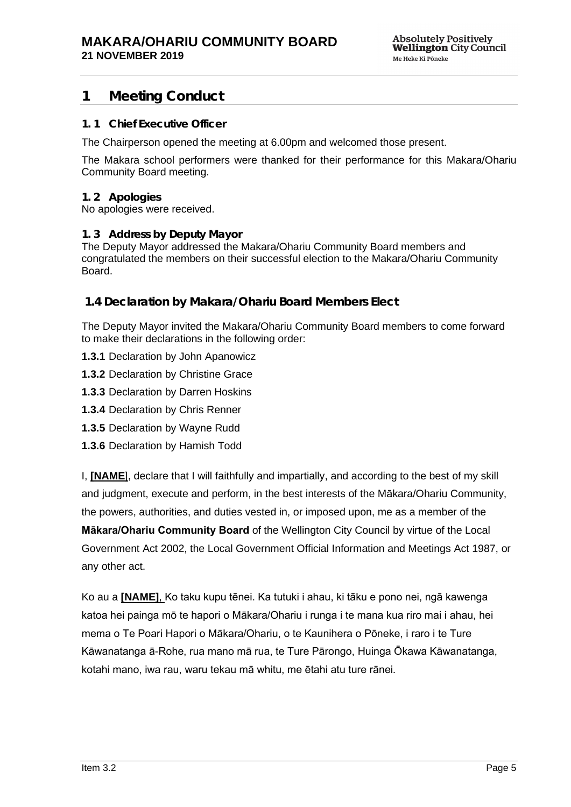# <span id="page-4-0"></span>**1 Meeting Conduct**

# <span id="page-4-1"></span>**1. 1 Chief Executive Officer**

The Chairperson opened the meeting at 6.00pm and welcomed those present.

The Makara school performers were thanked for their performance for this Makara/Ohariu Community Board meeting.

## <span id="page-4-2"></span>**1. 2 Apologies**

No apologies were received.

## <span id="page-4-3"></span>**1. 3 Address by Deputy Mayor**

The Deputy Mayor addressed the Makara/Ohariu Community Board members and congratulated the members on their successful election to the Makara/Ohariu Community Board.

# **1.4 Declaration by Makara/Ohariu Board Members Elect**

The Deputy Mayor invited the Makara/Ohariu Community Board members to come forward to make their declarations in the following order:

- **1.3.1** Declaration by John Apanowicz
- **1.3.2** Declaration by Christine Grace
- **1.3.3** Declaration by Darren Hoskins
- **1.3.4** Declaration by Chris Renner
- **1.3.5** Declaration by Wayne Rudd
- **1.3.6** Declaration by Hamish Todd

I, **[NAME**], declare that I will faithfully and impartially, and according to the best of my skill and judgment, execute and perform, in the best interests of the Mākara/Ohariu Community, the powers, authorities, and duties vested in, or imposed upon, me as a member of the **Mākara/Ohariu Community Board** of the Wellington City Council by virtue of the Local Government Act 2002, the Local Government Official Information and Meetings Act 1987, or any other act.

Ko au a **[NAME]**, Ko taku kupu tēnei. Ka tutuki i ahau, ki tāku e pono nei, ngā kawenga katoa hei painga mō te hapori o Mākara/Ohariu i runga i te mana kua riro mai i ahau, hei mema o Te Poari Hapori o Mākara/Ohariu, o te Kaunihera o Pōneke, i raro i te Ture Kāwanatanga ā-Rohe, rua mano mā rua, te Ture Pārongo, Huinga Ōkawa Kāwanatanga, kotahi mano, iwa rau, waru tekau mā whitu, me ētahi atu ture rānei.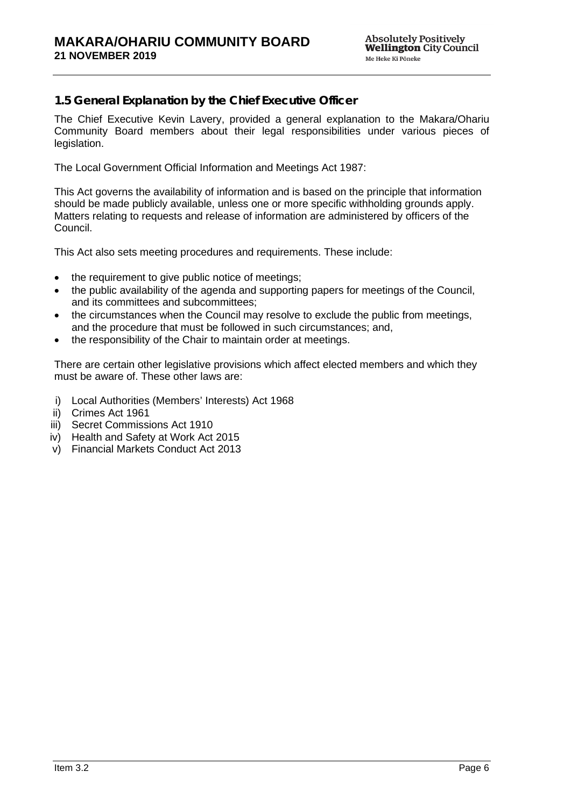# **1.5 General Explanation by the Chief Executive Officer**

The Chief Executive Kevin Lavery, provided a general explanation to the Makara/Ohariu Community Board members about their legal responsibilities under various pieces of legislation.

The Local Government Official Information and Meetings Act 1987:

This Act governs the availability of information and is based on the principle that information should be made publicly available, unless one or more specific withholding grounds apply. Matters relating to requests and release of information are administered by officers of the Council.

This Act also sets meeting procedures and requirements. These include:

- the requirement to give public notice of meetings;
- the public availability of the agenda and supporting papers for meetings of the Council, and its committees and subcommittees;
- the circumstances when the Council may resolve to exclude the public from meetings, and the procedure that must be followed in such circumstances; and,
- the responsibility of the Chair to maintain order at meetings.

There are certain other legislative provisions which affect elected members and which they must be aware of. These other laws are:

- i) Local Authorities (Members' Interests) Act 1968
- ii) Crimes Act 1961
- iii) Secret Commissions Act 1910
- iv) Health and Safety at Work Act 2015
- v) Financial Markets Conduct Act 2013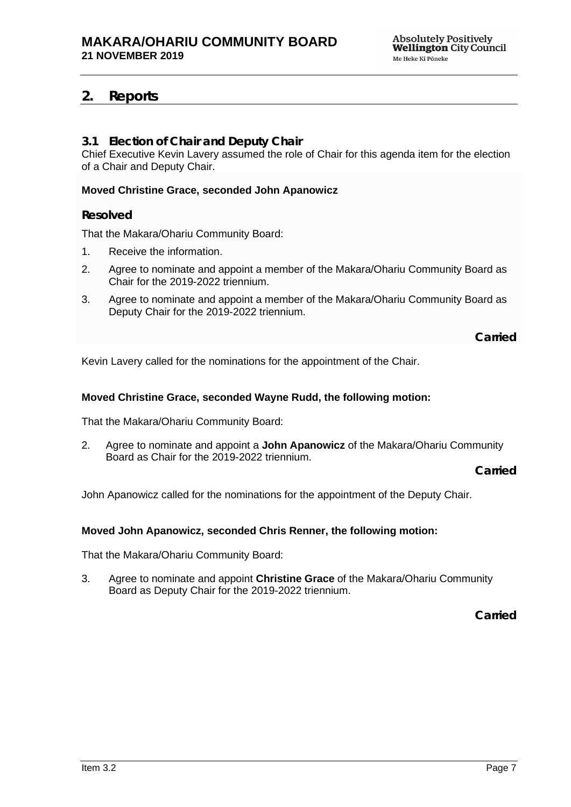# <span id="page-6-0"></span>**2. Reports**

# <span id="page-6-1"></span>**3.1 Election of Chair and Deputy Chair**

Chief Executive Kevin Lavery assumed the role of Chair for this agenda item for the election of a Chair and Deputy Chair.

## **Moved Christine Grace, seconded John Apanowicz**

# **Resolved**

That the Makara/Ohariu Community Board:

- 1. Receive the information.
- 2. Agree to nominate and appoint a member of the Makara/Ohariu Community Board as Chair for the 2019-2022 triennium.
- 3. Agree to nominate and appoint a member of the Makara/Ohariu Community Board as Deputy Chair for the 2019-2022 triennium.

**Carried**

Kevin Lavery called for the nominations for the appointment of the Chair.

## **Moved Christine Grace, seconded Wayne Rudd, the following motion:**

That the Makara/Ohariu Community Board:

2. Agree to nominate and appoint a **John Apanowicz** of the Makara/Ohariu Community Board as Chair for the 2019-2022 triennium.

**Carried**

John Apanowicz called for the nominations for the appointment of the Deputy Chair.

## **Moved John Apanowicz, seconded Chris Renner, the following motion:**

That the Makara/Ohariu Community Board:

3. Agree to nominate and appoint **Christine Grace** of the Makara/Ohariu Community Board as Deputy Chair for the 2019-2022 triennium.

**Carried**